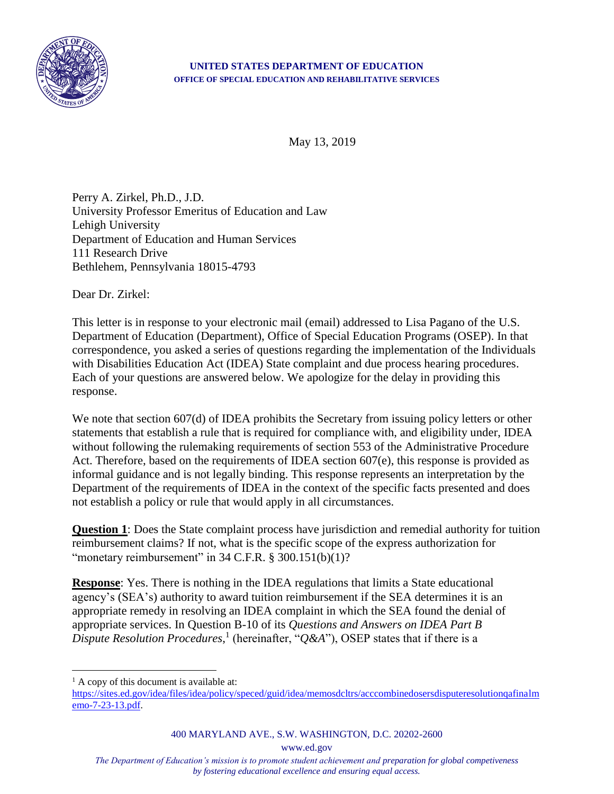

## **UNITED STATES DEPARTMENT OF EDUCATION OFFICE OF SPECIAL EDUCATION AND REHABILITATIVE SERVICES**

May 13, 2019

Perry A. Zirkel, Ph.D., J.D. University Professor Emeritus of Education and Law Lehigh University Department of Education and Human Services 111 Research Drive Bethlehem, Pennsylvania 18015-4793

Dear Dr. Zirkel:

This letter is in response to your electronic mail (email) addressed to Lisa Pagano of the U.S. Department of Education (Department), Office of Special Education Programs (OSEP). In that correspondence, you asked a series of questions regarding the implementation of the Individuals with Disabilities Education Act (IDEA) State complaint and due process hearing procedures. Each of your questions are answered below. We apologize for the delay in providing this response.

We note that section 607(d) of IDEA prohibits the Secretary from issuing policy letters or other statements that establish a rule that is required for compliance with, and eligibility under, IDEA without following the rulemaking requirements of section 553 of the Administrative Procedure Act. Therefore, based on the requirements of IDEA section 607(e), this response is provided as informal guidance and is not legally binding. This response represents an interpretation by the Department of the requirements of IDEA in the context of the specific facts presented and does not establish a policy or rule that would apply in all circumstances.

**Question 1**: Does the State complaint process have jurisdiction and remedial authority for tuition reimbursement claims? If not, what is the specific scope of the express authorization for "monetary reimbursement" in  $34$  C.F.R. §  $300.151(b)(1)$ ?

**Response**: Yes. There is nothing in the IDEA regulations that limits a State educational agency's (SEA's) authority to award tuition reimbursement if the SEA determines it is an appropriate remedy in resolving an IDEA complaint in which the SEA found the denial of appropriate services. In Question B-10 of its *Questions and Answers on IDEA Part B*  Dispute Resolution Procedures,<sup>1</sup> (hereinafter, "Q&A"), OSEP states that if there is a

 $\overline{a}$ 

400 MARYLAND AVE., S.W. WASHINGTON, D.C. 20202-2600

www.ed.gov

*The Department of Education's mission is to promote student achievement and preparation for global competiveness by fostering educational excellence and ensuring equal access.*

 $<sup>1</sup>$  A copy of this document is available at:</sup>

[https://sites.ed.gov/idea/files/idea/policy/speced/guid/idea/memosdcltrs/acccombinedosersdisputeresolutionqafinalm](https://sites.ed.gov/idea/files/idea/policy/speced/guid/idea/memosdcltrs/acccombinedosersdisputeresolutionqafinalmemo-7-23-13.pdf) [emo-7-23-13.pdf.](https://sites.ed.gov/idea/files/idea/policy/speced/guid/idea/memosdcltrs/acccombinedosersdisputeresolutionqafinalmemo-7-23-13.pdf)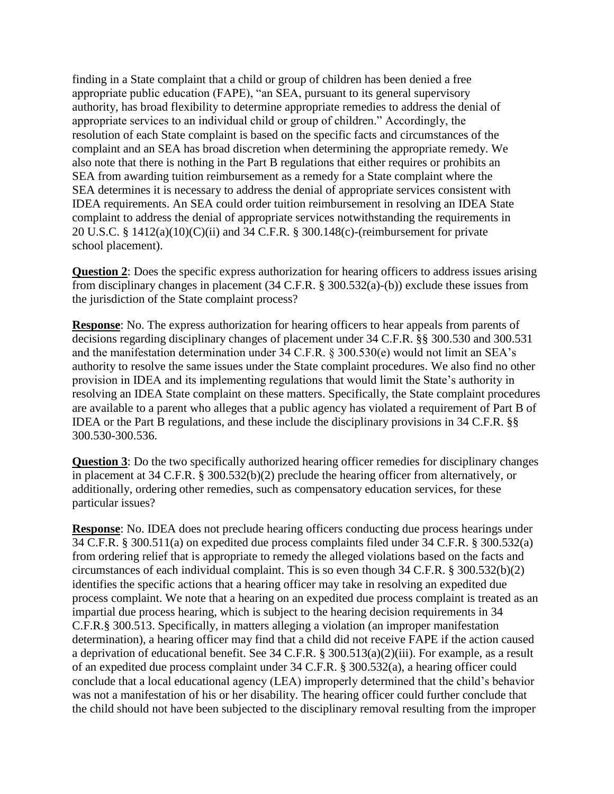finding in a State complaint that a child or group of children has been denied a free appropriate public education (FAPE), "an SEA, pursuant to its general supervisory authority, has broad flexibility to determine appropriate remedies to address the denial of appropriate services to an individual child or group of children." Accordingly, the resolution of each State complaint is based on the specific facts and circumstances of the complaint and an SEA has broad discretion when determining the appropriate remedy. We also note that there is nothing in the Part B regulations that either requires or prohibits an SEA from awarding tuition reimbursement as a remedy for a State complaint where the SEA determines it is necessary to address the denial of appropriate services consistent with IDEA requirements. An SEA could order tuition reimbursement in resolving an IDEA State complaint to address the denial of appropriate services notwithstanding the requirements in 20 U.S.C. § 1412(a)(10)(C)(ii) and 34 C.F.R. § 300.148(c)-(reimbursement for private school placement).

**Question 2:** Does the specific express authorization for hearing officers to address issues arising from disciplinary changes in placement (34 C.F.R. § 300.532(a)-(b)) exclude these issues from the jurisdiction of the State complaint process?

**Response**: No. The express authorization for hearing officers to hear appeals from parents of decisions regarding disciplinary changes of placement under 34 C.F.R. §§ 300.530 and 300.531 and the manifestation determination under 34 C.F.R. § 300.530(e) would not limit an SEA's authority to resolve the same issues under the State complaint procedures. We also find no other provision in IDEA and its implementing regulations that would limit the State's authority in resolving an IDEA State complaint on these matters. Specifically, the State complaint procedures are available to a parent who alleges that a public agency has violated a requirement of Part B of IDEA or the Part B regulations, and these include the disciplinary provisions in 34 C.F.R. §§ 300.530-300.536.

**Question 3**: Do the two specifically authorized hearing officer remedies for disciplinary changes in placement at 34 C.F.R. § 300.532(b)(2) preclude the hearing officer from alternatively, or additionally, ordering other remedies, such as compensatory education services, for these particular issues?

**Response**: No. IDEA does not preclude hearing officers conducting due process hearings under 34 C.F.R. § 300.511(a) on expedited due process complaints filed under 34 C.F.R. § 300.532(a) from ordering relief that is appropriate to remedy the alleged violations based on the facts and circumstances of each individual complaint. This is so even though 34 C.F.R. § 300.532(b)(2) identifies the specific actions that a hearing officer may take in resolving an expedited due process complaint. We note that a hearing on an expedited due process complaint is treated as an impartial due process hearing, which is subject to the hearing decision requirements in 34 C.F.R.§ 300.513. Specifically, in matters alleging a violation (an improper manifestation determination), a hearing officer may find that a child did not receive FAPE if the action caused a deprivation of educational benefit. See 34 C.F.R. § 300.513(a)(2)(iii). For example, as a result of an expedited due process complaint under 34 C.F.R. § 300.532(a), a hearing officer could conclude that a local educational agency (LEA) improperly determined that the child's behavior was not a manifestation of his or her disability. The hearing officer could further conclude that the child should not have been subjected to the disciplinary removal resulting from the improper